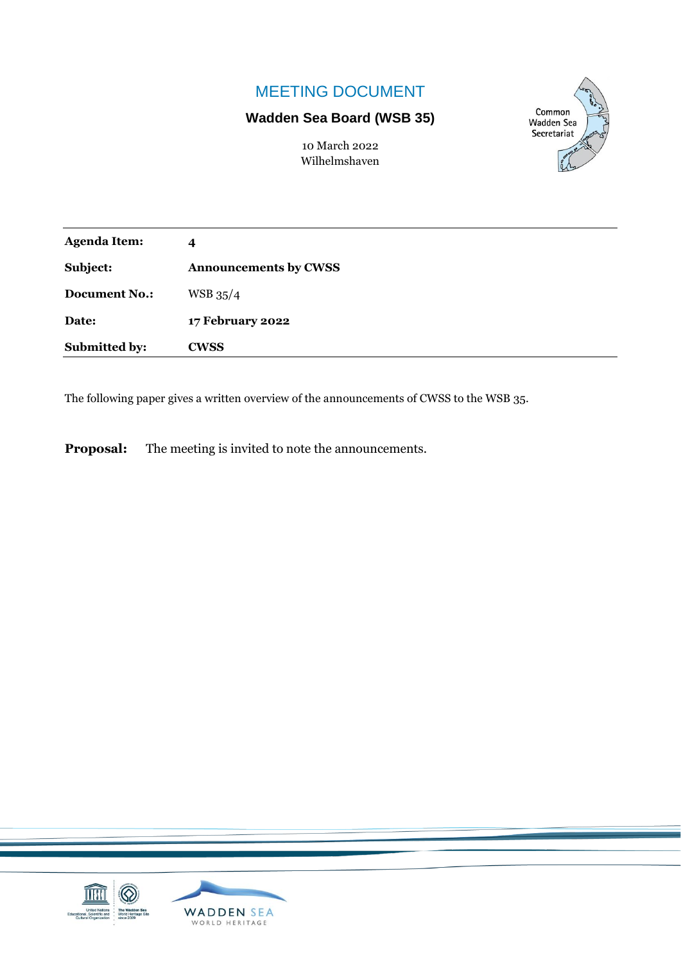## MEETING DOCUMENT

## **Wadden Sea Board (WSB 35)**

Common **Wadden Sea** Secretariat

10 March 2022 Wilhelmshaven

| <b>Agenda Item:</b>  | 4                            |
|----------------------|------------------------------|
| Subject:             | <b>Announcements by CWSS</b> |
| <b>Document No.:</b> | $WSB$ 35/4                   |
| Date:                | <b>17 February 2022</b>      |
| <b>Submitted by:</b> | <b>CWSS</b>                  |

The following paper gives a written overview of the announcements of CWSS to the WSB 35.

**Proposal:** The meeting is invited to note the announcements.

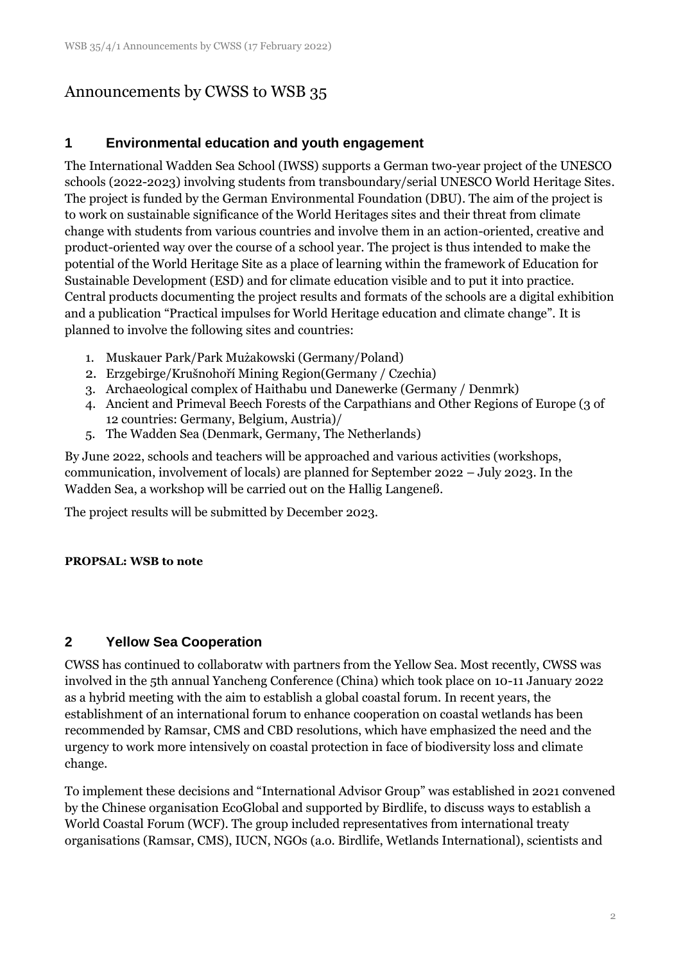# Announcements by CWSS to WSB 35

### **1 Environmental education and youth engagement**

The International Wadden Sea School (IWSS) supports a German two-year project of the UNESCO schools (2022-2023) involving students from transboundary/serial UNESCO World Heritage Sites. The project is funded by the German Environmental Foundation (DBU). The aim of the project is to work on sustainable significance of the World Heritages sites and their threat from climate change with students from various countries and involve them in an action-oriented, creative and product-oriented way over the course of a school year. The project is thus intended to make the potential of the World Heritage Site as a place of learning within the framework of Education for Sustainable Development (ESD) and for climate education visible and to put it into practice. Central products documenting the project results and formats of the schools are a digital exhibition and a publication "Practical impulses for World Heritage education and climate change". It is planned to involve the following sites and countries:

- 1. Muskauer Park/Park Mużakowski (Germany/Poland)
- 2. Erzgebirge/Krušnohoří Mining Region(Germany / Czechia)
- 3. Archaeological complex of Haithabu und Danewerke (Germany / Denmrk)
- 4. Ancient and Primeval Beech Forests of the Carpathians and Other Regions of Europe (3 of 12 countries: Germany, Belgium, Austria)/
- 5. The Wadden Sea (Denmark, Germany, The Netherlands)

By June 2022, schools and teachers will be approached and various activities (workshops, communication, involvement of locals) are planned for September 2022 – July 2023. In the Wadden Sea, a workshop will be carried out on the Hallig Langeneß.

The project results will be submitted by December 2023.

#### **PROPSAL: WSB to note**

### **2 Yellow Sea Cooperation**

CWSS has continued to collaboratw with partners from the Yellow Sea. Most recently, CWSS was involved in the 5th annual Yancheng Conference (China) which took place on 10-11 January 2022 as a hybrid meeting with the aim to establish a global coastal forum. In recent years, the establishment of an international forum to enhance cooperation on coastal wetlands has been recommended by Ramsar, CMS and CBD resolutions, which have emphasized the need and the urgency to work more intensively on coastal protection in face of biodiversity loss and climate change.

To implement these decisions and "International Advisor Group" was established in 2021 convened by the Chinese organisation EcoGlobal and supported by Birdlife, to discuss ways to establish a World Coastal Forum (WCF). The group included representatives from international treaty organisations (Ramsar, CMS), IUCN, NGOs (a.o. Birdlife, Wetlands International), scientists and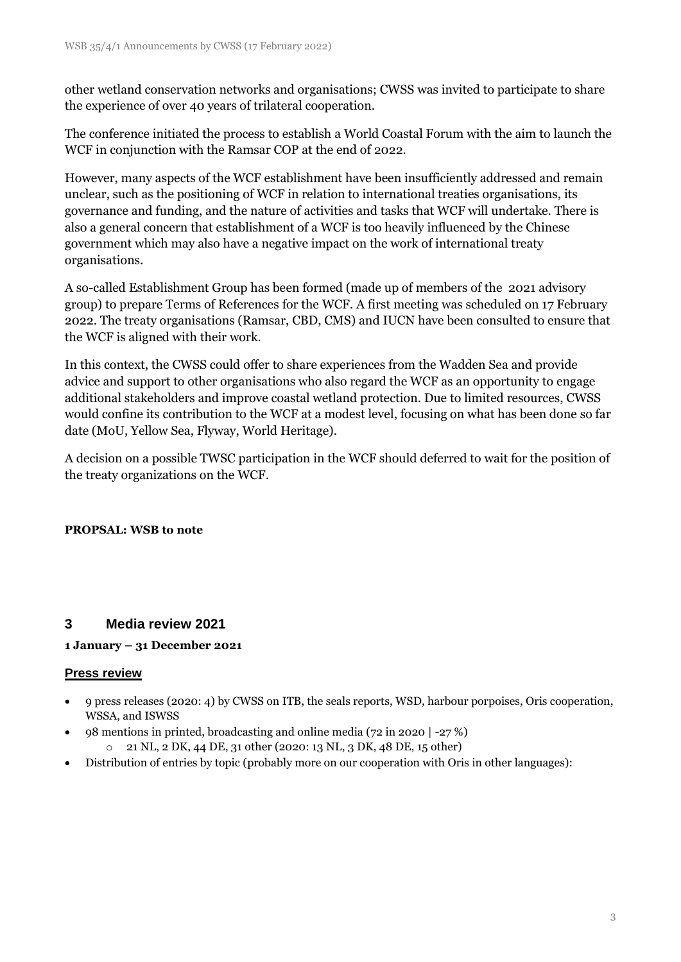other wetland conservation networks and organisations; CWSS was invited to participate to share the experience of over 40 years of trilateral cooperation.

The conference initiated the process to establish a World Coastal Forum with the aim to launch the WCF in conjunction with the Ramsar COP at the end of 2022.

However, many aspects of the WCF establishment have been insufficiently addressed and remain unclear, such as the positioning of WCF in relation to international treaties organisations, its governance and funding, and the nature of activities and tasks that WCF will undertake. There is also a general concern that establishment of a WCF is too heavily influenced by the Chinese government which may also have a negative impact on the work of international treaty organisations.

A so-called Establishment Group has been formed (made up of members of the 2021 advisory group) to prepare Terms of References for the WCF. A first meeting was scheduled on 17 February 2022. The treaty organisations (Ramsar, CBD, CMS) and IUCN have been consulted to ensure that the WCF is aligned with their work.

In this context, the CWSS could offer to share experiences from the Wadden Sea and provide advice and support to other organisations who also regard the WCF as an opportunity to engage additional stakeholders and improve coastal wetland protection. Due to limited resources, CWSS would confine its contribution to the WCF at a modest level, focusing on what has been done so far date (MoU, Yellow Sea, Flyway, World Heritage).

A decision on a possible TWSC participation in the WCF should deferred to wait for the position of the treaty organizations on the WCF.

#### **PROPSAL: WSB to note**

#### **3 Media review 2021**

#### **1 January – 31 December 2021**

#### **Press review**

- 9 press releases (2020: 4) by CWSS on ITB, the seals reports, WSD, harbour porpoises, Oris cooperation, WSSA, and ISWSS
- 98 mentions in printed, broadcasting and online media (72 in 2020 | -27 %)
	- o 21 NL, 2 DK, 44 DE, 31 other (2020: 13 NL, 3 DK, 48 DE, 15 other)
- Distribution of entries by topic (probably more on our cooperation with Oris in other languages):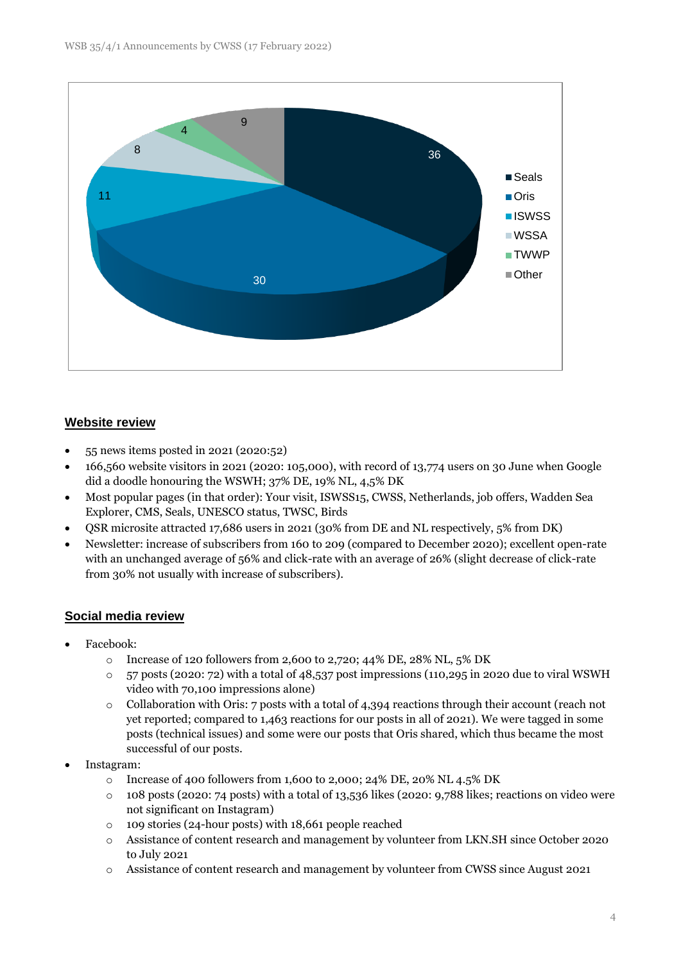

#### **Website review**

- 55 news items posted in 2021 (2020:52)
- 166,560 website visitors in 2021 (2020: 105,000), with record of 13,774 users on 30 June when Google did a doodle honouring the WSWH; 37% DE, 19% NL, 4,5% DK
- Most popular pages (in that order): Your visit, ISWSS15, CWSS, Netherlands, job offers, Wadden Sea Explorer, CMS, Seals, UNESCO status, TWSC, Birds
- QSR microsite attracted 17,686 users in 2021 (30% from DE and NL respectively, 5% from DK)
- Newsletter: increase of subscribers from 160 to 209 (compared to December 2020); excellent open-rate with an unchanged average of 56% and click-rate with an average of 26% (slight decrease of click-rate from 30% not usually with increase of subscribers).

#### **Social media review**

- Facebook:
	- o Increase of 120 followers from 2,600 to 2,720; 44% DE, 28% NL,  $5\%$  DK
	- o 57 posts (2020: 72) with a total of 48,537 post impressions (110,295 in 2020 due to viral WSWH video with 70,100 impressions alone)
	- o Collaboration with Oris: 7 posts with a total of 4,394 reactions through their account (reach not yet reported; compared to 1,463 reactions for our posts in all of 2021). We were tagged in some posts (technical issues) and some were our posts that Oris shared, which thus became the most successful of our posts.
- Instagram:
	- o Increase of 400 followers from 1,600 to 2,000; 24% DE, 20% NL 4.5% DK
	- $\circ$  108 posts (2020: 74 posts) with a total of 13,536 likes (2020: 9,788 likes; reactions on video were not significant on Instagram)
	- o 109 stories (24-hour posts) with 18,661 people reached
	- o Assistance of content research and management by volunteer from LKN.SH since October 2020 to July 2021
	- o Assistance of content research and management by volunteer from CWSS since August 2021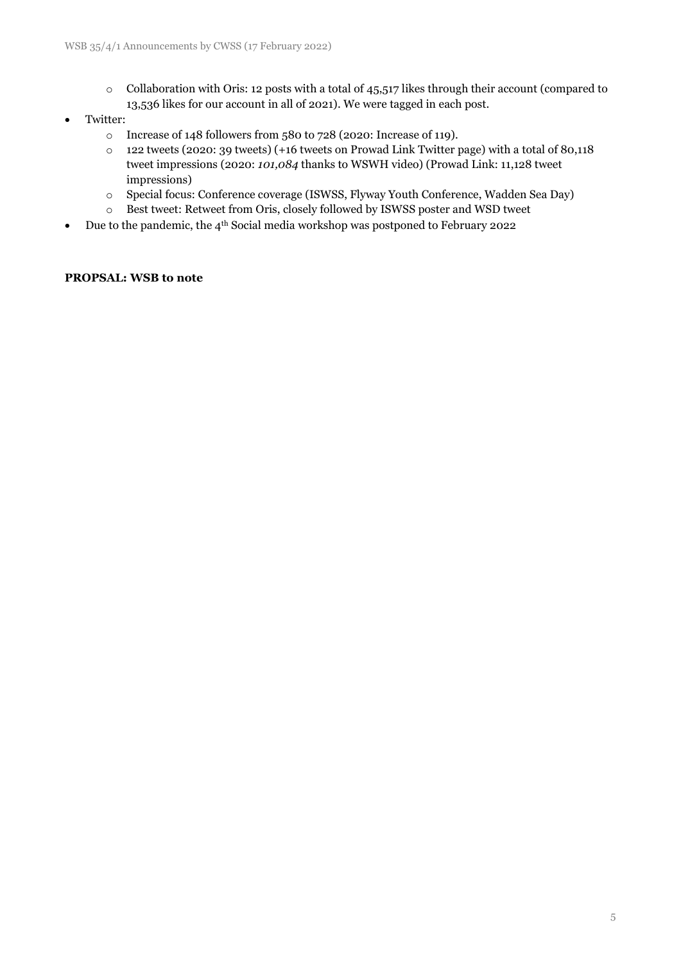o Collaboration with Oris: 12 posts with a total of 45,517 likes through their account (compared to 13,536 likes for our account in all of 2021). We were tagged in each post.

#### • Twitter:

- o Increase of 148 followers from 580 to 728 (2020: Increase of 119).
- o 122 tweets (2020: 39 tweets) (+16 tweets on Prowad Link Twitter page) with a total of 80,118 tweet impressions (2020: *101,084* thanks to WSWH video) (Prowad Link: 11,128 tweet impressions)
- o Special focus: Conference coverage (ISWSS, Flyway Youth Conference, Wadden Sea Day)
- o Best tweet: Retweet from Oris, closely followed by ISWSS poster and WSD tweet
- Due to the pandemic, the 4<sup>th</sup> Social media workshop was postponed to February 2022

#### **PROPSAL: WSB to note**